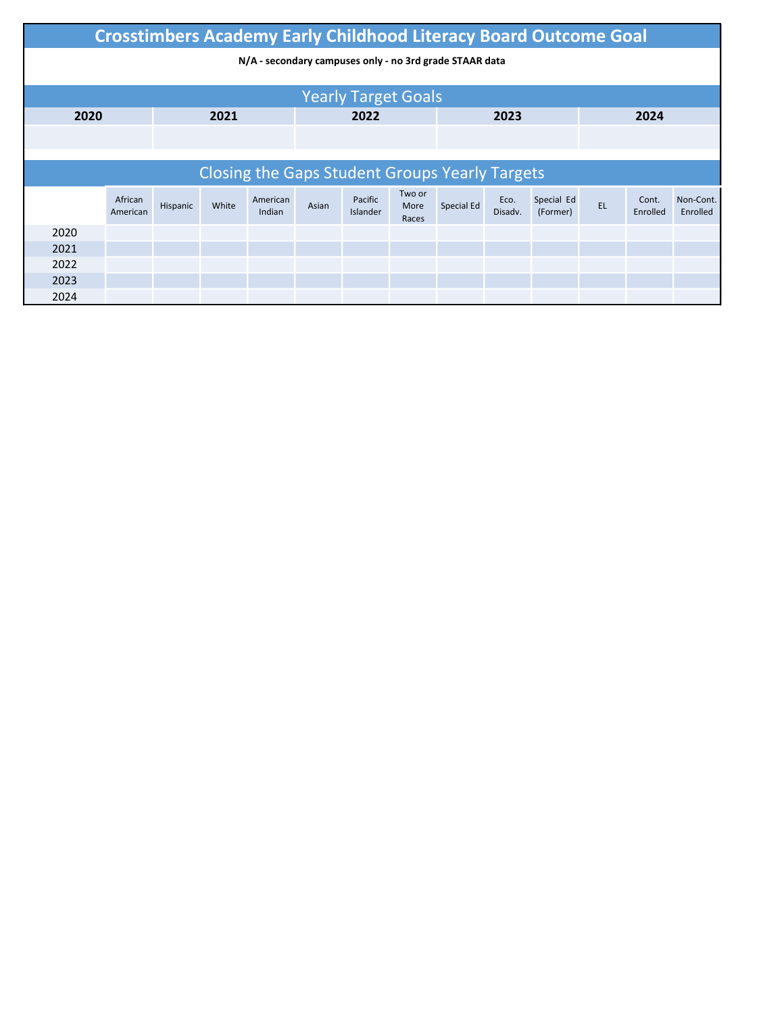|      | <b>Crosstimbers Academy Early Childhood Literacy Board Outcome Goal</b> |          |       |                    |       |                     |                         |                                                       |                 |                        |    |                   |                       |
|------|-------------------------------------------------------------------------|----------|-------|--------------------|-------|---------------------|-------------------------|-------------------------------------------------------|-----------------|------------------------|----|-------------------|-----------------------|
|      | N/A - secondary campuses only - no 3rd grade STAAR data                 |          |       |                    |       |                     |                         |                                                       |                 |                        |    |                   |                       |
|      |                                                                         |          |       |                    |       |                     |                         |                                                       |                 |                        |    |                   |                       |
|      | <b>Yearly Target Goals</b><br>2020<br>2021<br>2022<br>2023<br>2024      |          |       |                    |       |                     |                         |                                                       |                 |                        |    |                   |                       |
|      |                                                                         |          |       |                    |       |                     |                         |                                                       |                 |                        |    |                   |                       |
|      |                                                                         |          |       |                    |       |                     |                         |                                                       |                 |                        |    |                   |                       |
|      |                                                                         |          |       |                    |       |                     |                         | <b>Closing the Gaps Student Groups Yearly Targets</b> |                 |                        |    |                   |                       |
|      | African<br>American                                                     | Hispanic | White | American<br>Indian | Asian | Pacific<br>Islander | Two or<br>More<br>Races | Special Ed                                            | Eco.<br>Disadv. | Special Ed<br>(Former) | EL | Cont.<br>Enrolled | Non-Cont.<br>Enrolled |
| 2020 |                                                                         |          |       |                    |       |                     |                         |                                                       |                 |                        |    |                   |                       |
| 2021 |                                                                         |          |       |                    |       |                     |                         |                                                       |                 |                        |    |                   |                       |
| 2022 |                                                                         |          |       |                    |       |                     |                         |                                                       |                 |                        |    |                   |                       |
| 2023 |                                                                         |          |       |                    |       |                     |                         |                                                       |                 |                        |    |                   |                       |
| 2024 |                                                                         |          |       |                    |       |                     |                         |                                                       |                 |                        |    |                   |                       |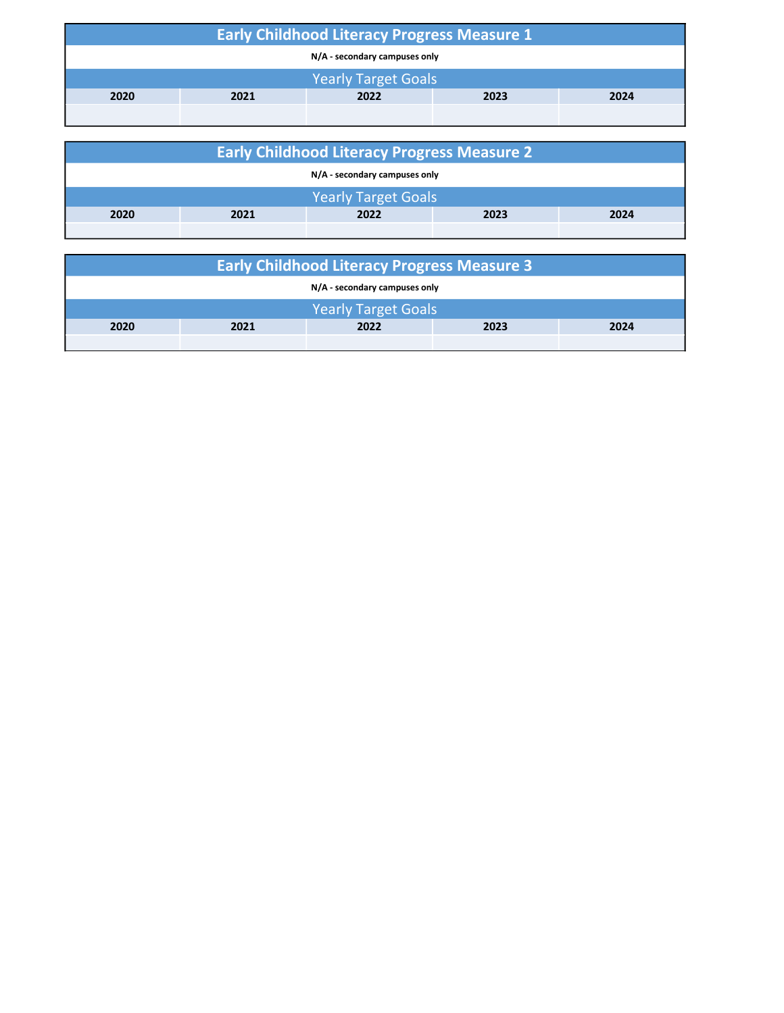| <b>Early Childhood Literacy Progress Measure 1</b> |                            |  |  |  |  |  |  |  |
|----------------------------------------------------|----------------------------|--|--|--|--|--|--|--|
| N/A - secondary campuses only                      |                            |  |  |  |  |  |  |  |
|                                                    | <b>Yearly Target Goals</b> |  |  |  |  |  |  |  |
| 2020<br>2022<br>2023<br>2024<br>2021               |                            |  |  |  |  |  |  |  |
|                                                    |                            |  |  |  |  |  |  |  |

| <b>Early Childhood Literacy Progress Measure 2</b> |                            |  |  |  |  |  |  |  |
|----------------------------------------------------|----------------------------|--|--|--|--|--|--|--|
| N/A - secondary campuses only                      |                            |  |  |  |  |  |  |  |
|                                                    | <b>Yearly Target Goals</b> |  |  |  |  |  |  |  |
| 2020<br>2022<br>2024<br>2021<br>2023               |                            |  |  |  |  |  |  |  |
|                                                    |                            |  |  |  |  |  |  |  |

| <b>Early Childhood Literacy Progress Measure 3</b> |  |                            |  |  |  |  |  |
|----------------------------------------------------|--|----------------------------|--|--|--|--|--|
| N/A - secondary campuses only                      |  |                            |  |  |  |  |  |
|                                                    |  | <b>Yearly Target Goals</b> |  |  |  |  |  |
| 2020<br>2021<br>2023<br>2024<br>2022               |  |                            |  |  |  |  |  |
|                                                    |  |                            |  |  |  |  |  |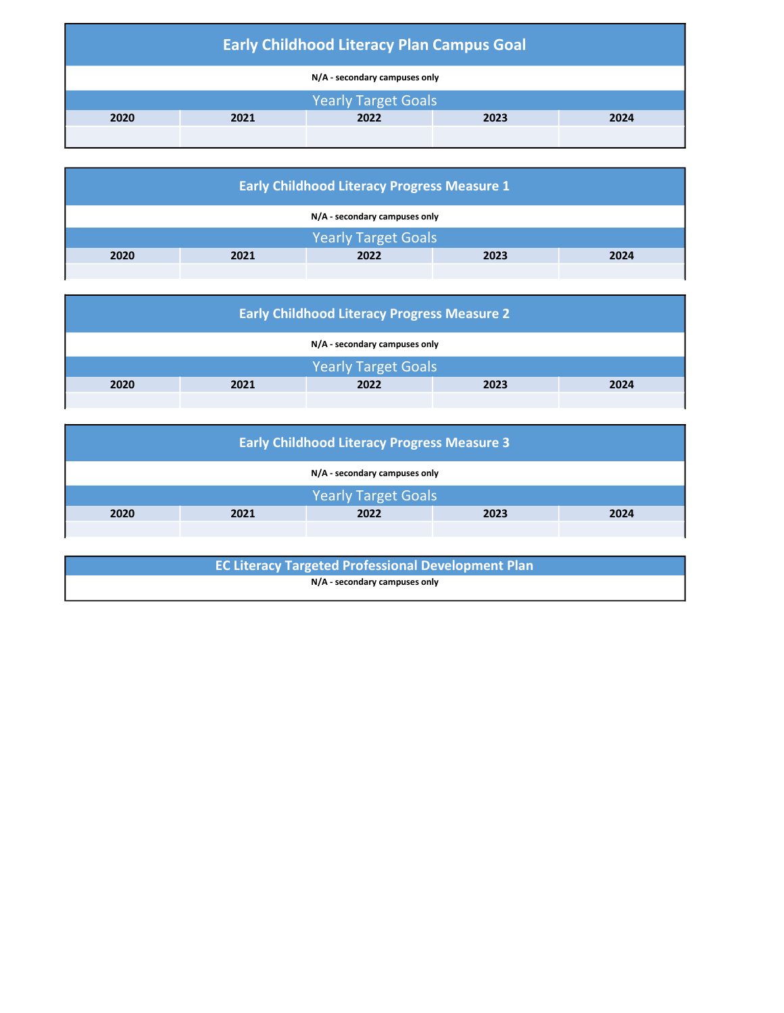| <b>Early Childhood Literacy Plan Campus Goal</b> |                            |  |  |  |  |  |  |  |
|--------------------------------------------------|----------------------------|--|--|--|--|--|--|--|
| N/A - secondary campuses only                    |                            |  |  |  |  |  |  |  |
|                                                  | <b>Yearly Target Goals</b> |  |  |  |  |  |  |  |
| 2021<br>2022<br>2020<br>2023<br>2024             |                            |  |  |  |  |  |  |  |
|                                                  |                            |  |  |  |  |  |  |  |

| <b>Early Childhood Literacy Progress Measure 1</b> |                               |                            |  |  |  |  |  |  |
|----------------------------------------------------|-------------------------------|----------------------------|--|--|--|--|--|--|
|                                                    | N/A - secondary campuses only |                            |  |  |  |  |  |  |
|                                                    |                               | <b>Yearly Target Goals</b> |  |  |  |  |  |  |
| 2020<br>2023<br>2022<br>2024<br>2021               |                               |                            |  |  |  |  |  |  |
|                                                    |                               |                            |  |  |  |  |  |  |

| <b>Early Childhood Literacy Progress Measure 2</b> |  |                            |  |  |  |  |  |  |
|----------------------------------------------------|--|----------------------------|--|--|--|--|--|--|
| N/A - secondary campuses only                      |  |                            |  |  |  |  |  |  |
|                                                    |  | <b>Yearly Target Goals</b> |  |  |  |  |  |  |
| 2020<br>2022<br>2021<br>2023<br>2024               |  |                            |  |  |  |  |  |  |
|                                                    |  |                            |  |  |  |  |  |  |

| <b>Early Childhood Literacy Progress Measure 3</b> |  |                            |  |  |  |  |  |  |  |
|----------------------------------------------------|--|----------------------------|--|--|--|--|--|--|--|
| N/A - secondary campuses only                      |  |                            |  |  |  |  |  |  |  |
|                                                    |  | <b>Yearly Target Goals</b> |  |  |  |  |  |  |  |
| 2020<br>2022<br>2021<br>2023<br>2024               |  |                            |  |  |  |  |  |  |  |
|                                                    |  |                            |  |  |  |  |  |  |  |

| <b>EC Literacy Targeted Professional Development Plan</b> |  |
|-----------------------------------------------------------|--|
| N/A - secondary campuses only                             |  |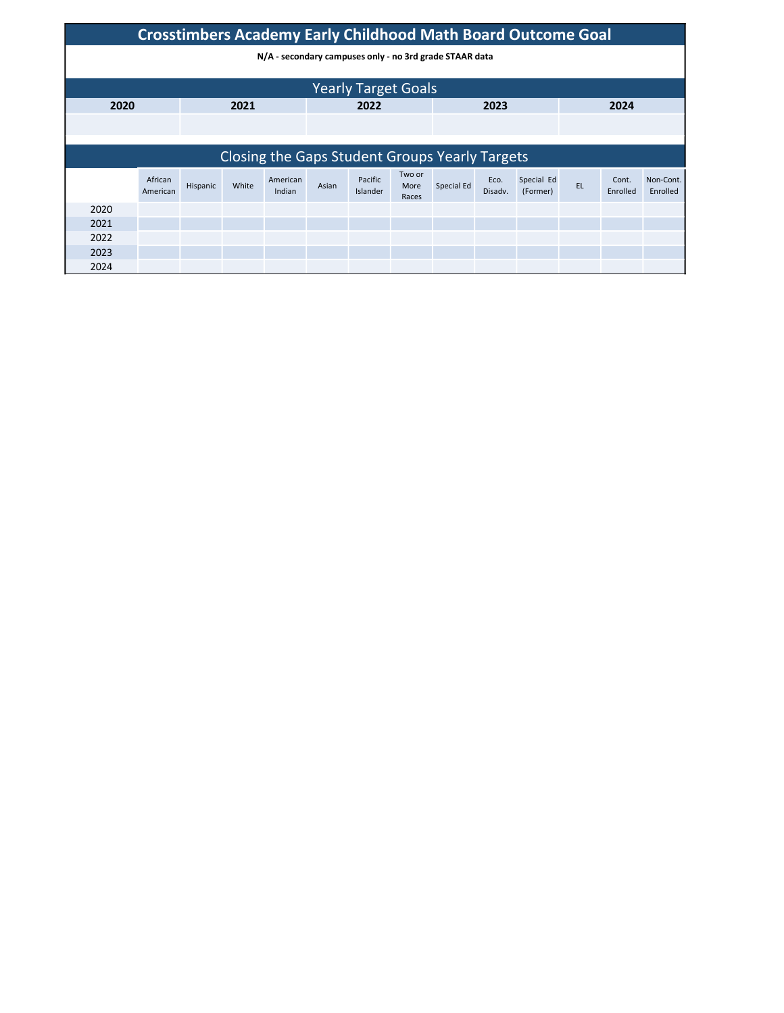|      | <b>Crosstimbers Academy Early Childhood Math Board Outcome Goal</b> |          |       |                                                |       |                            |                         |            |                 |                        |           |                   |                       |
|------|---------------------------------------------------------------------|----------|-------|------------------------------------------------|-------|----------------------------|-------------------------|------------|-----------------|------------------------|-----------|-------------------|-----------------------|
|      | N/A - secondary campuses only - no 3rd grade STAAR data             |          |       |                                                |       |                            |                         |            |                 |                        |           |                   |                       |
|      |                                                                     |          |       |                                                |       |                            |                         |            |                 |                        |           |                   |                       |
|      |                                                                     |          |       |                                                |       | <b>Yearly Target Goals</b> |                         |            |                 |                        |           |                   |                       |
| 2020 |                                                                     |          | 2021  |                                                |       | 2022                       |                         |            | 2023            |                        |           | 2024              |                       |
|      |                                                                     |          |       |                                                |       |                            |                         |            |                 |                        |           |                   |                       |
|      |                                                                     |          |       |                                                |       |                            |                         |            |                 |                        |           |                   |                       |
|      |                                                                     |          |       | Closing the Gaps Student Groups Yearly Targets |       |                            |                         |            |                 |                        |           |                   |                       |
|      | African<br>American                                                 | Hispanic | White | American<br>Indian                             | Asian | Pacific<br>Islander        | Two or<br>More<br>Races | Special Ed | Eco.<br>Disadv. | Special Ed<br>(Former) | <b>EL</b> | Cont.<br>Enrolled | Non-Cont.<br>Enrolled |
| 2020 |                                                                     |          |       |                                                |       |                            |                         |            |                 |                        |           |                   |                       |
| 2021 |                                                                     |          |       |                                                |       |                            |                         |            |                 |                        |           |                   |                       |
| 2022 |                                                                     |          |       |                                                |       |                            |                         |            |                 |                        |           |                   |                       |
| 2023 |                                                                     |          |       |                                                |       |                            |                         |            |                 |                        |           |                   |                       |
| 2024 |                                                                     |          |       |                                                |       |                            |                         |            |                 |                        |           |                   |                       |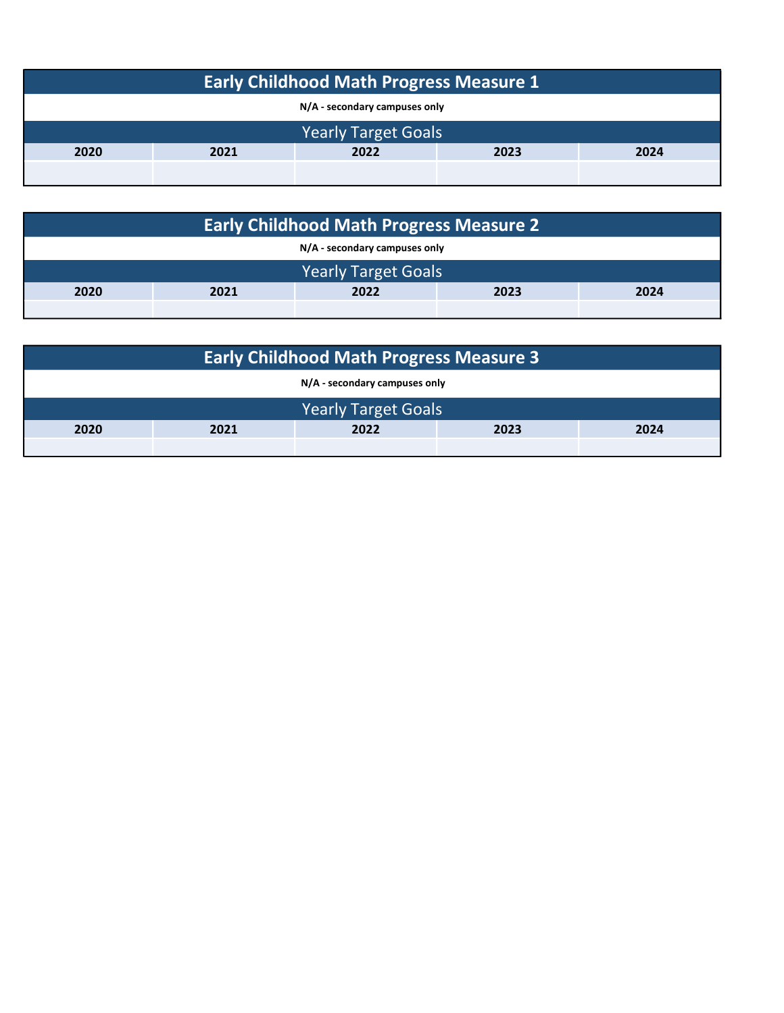| <b>Early Childhood Math Progress Measure 1</b> |                              |  |  |  |  |  |  |
|------------------------------------------------|------------------------------|--|--|--|--|--|--|
| N/A - secondary campuses only                  |                              |  |  |  |  |  |  |
|                                                | <b>Yearly Target Goals</b>   |  |  |  |  |  |  |
| 2020                                           | 2022<br>2021<br>2023<br>2024 |  |  |  |  |  |  |
|                                                |                              |  |  |  |  |  |  |

| <b>Early Childhood Math Progress Measure 2</b> |                            |  |  |  |  |  |  |  |
|------------------------------------------------|----------------------------|--|--|--|--|--|--|--|
| N/A - secondary campuses only                  |                            |  |  |  |  |  |  |  |
|                                                | <b>Yearly Target Goals</b> |  |  |  |  |  |  |  |
| 2021<br>2022<br>2020<br>2023<br>2024           |                            |  |  |  |  |  |  |  |
|                                                |                            |  |  |  |  |  |  |  |

| <b>Early Childhood Math Progress Measure 3</b> |                               |                            |  |  |  |  |  |  |  |  |  |
|------------------------------------------------|-------------------------------|----------------------------|--|--|--|--|--|--|--|--|--|
|                                                | N/A - secondary campuses only |                            |  |  |  |  |  |  |  |  |  |
|                                                |                               | <b>Yearly Target Goals</b> |  |  |  |  |  |  |  |  |  |
| 2020<br>2022<br>2021<br>2023<br>2024           |                               |                            |  |  |  |  |  |  |  |  |  |
|                                                |                               |                            |  |  |  |  |  |  |  |  |  |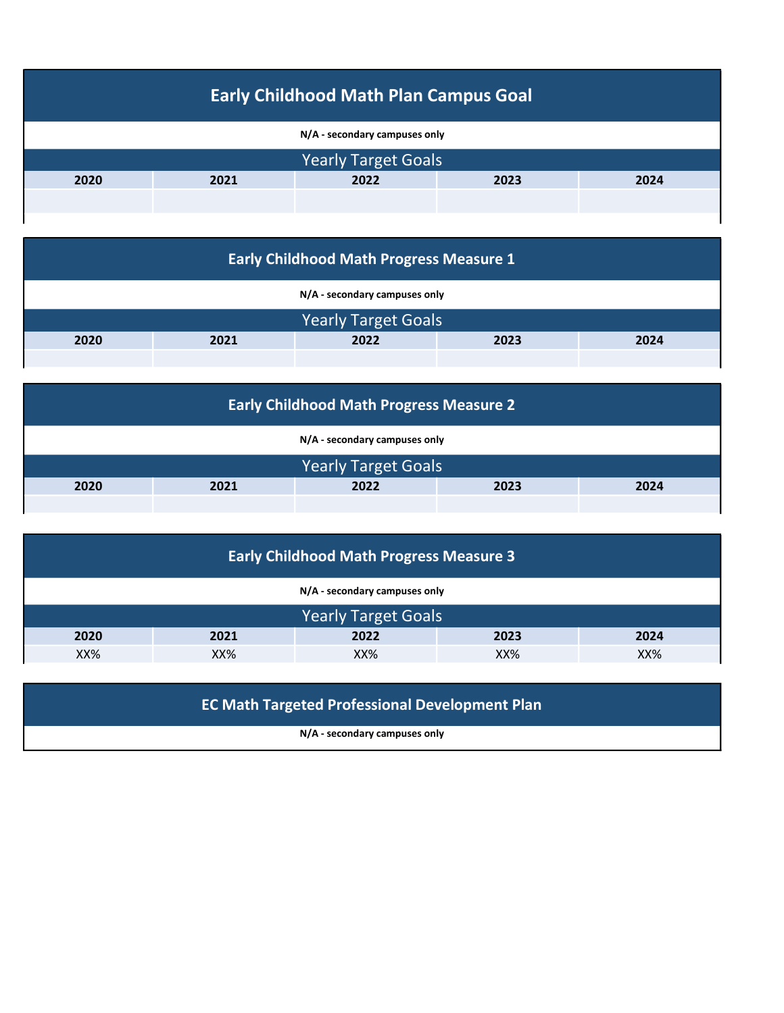| <b>Early Childhood Math Plan Campus Goal</b> |      |                               |      |      |  |  |  |  |  |  |  |  |
|----------------------------------------------|------|-------------------------------|------|------|--|--|--|--|--|--|--|--|
|                                              |      | N/A - secondary campuses only |      |      |  |  |  |  |  |  |  |  |
|                                              |      | <b>Yearly Target Goals</b>    |      |      |  |  |  |  |  |  |  |  |
| 2020                                         | 2021 | 2022                          | 2023 | 2024 |  |  |  |  |  |  |  |  |
|                                              |      |                               |      |      |  |  |  |  |  |  |  |  |
|                                              |      |                               |      |      |  |  |  |  |  |  |  |  |

| <b>Early Childhood Math Progress Measure 1</b> |  |                               |  |  |  |  |  |  |  |  |  |  |
|------------------------------------------------|--|-------------------------------|--|--|--|--|--|--|--|--|--|--|
|                                                |  | N/A - secondary campuses only |  |  |  |  |  |  |  |  |  |  |
|                                                |  | <b>Yearly Target Goals</b>    |  |  |  |  |  |  |  |  |  |  |
| 2020<br>2022<br>2023<br>2024<br>2021           |  |                               |  |  |  |  |  |  |  |  |  |  |
|                                                |  |                               |  |  |  |  |  |  |  |  |  |  |

| <b>Early Childhood Math Progress Measure 2</b> |  |                               |  |  |  |  |  |  |  |  |  |
|------------------------------------------------|--|-------------------------------|--|--|--|--|--|--|--|--|--|
|                                                |  | N/A - secondary campuses only |  |  |  |  |  |  |  |  |  |
|                                                |  | <b>Yearly Target Goals</b>    |  |  |  |  |  |  |  |  |  |
| 2020<br>2022<br>2023<br>2024<br>2021           |  |                               |  |  |  |  |  |  |  |  |  |
|                                                |  |                               |  |  |  |  |  |  |  |  |  |

| <b>Early Childhood Math Progress Measure 3</b> |      |                               |      |      |  |  |  |  |  |  |  |  |
|------------------------------------------------|------|-------------------------------|------|------|--|--|--|--|--|--|--|--|
|                                                |      | N/A - secondary campuses only |      |      |  |  |  |  |  |  |  |  |
|                                                |      | <b>Yearly Target Goals</b>    |      |      |  |  |  |  |  |  |  |  |
| 2020                                           | 2021 | 2022                          | 2023 | 2024 |  |  |  |  |  |  |  |  |
| XX%<br>$XX\%$<br>XX%<br>XX%<br>XX%             |      |                               |      |      |  |  |  |  |  |  |  |  |

# EC Math Targeted Professional Development Plan

N/A - secondary campuses only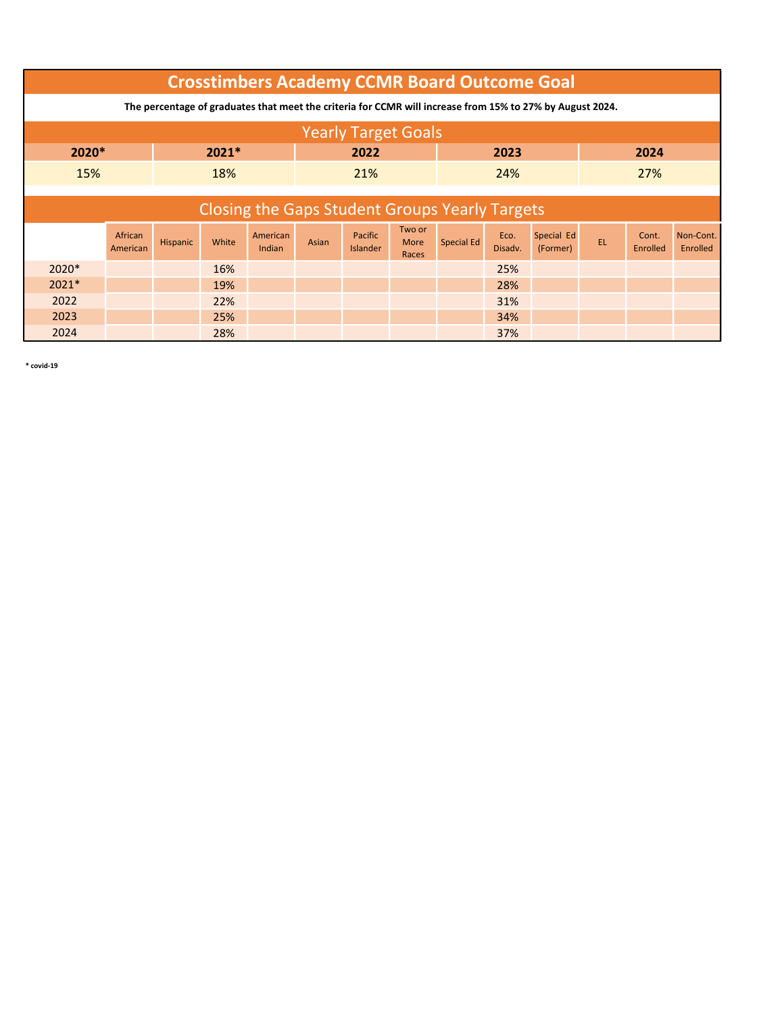|                                                                                                           | <b>Crosstimbers Academy CCMR Board Outcome Goal</b>   |          |       |                    |       |                            |                         |            |                 |                        |    |                   |                       |
|-----------------------------------------------------------------------------------------------------------|-------------------------------------------------------|----------|-------|--------------------|-------|----------------------------|-------------------------|------------|-----------------|------------------------|----|-------------------|-----------------------|
| The percentage of graduates that meet the criteria for CCMR will increase from 15% to 27% by August 2024. |                                                       |          |       |                    |       |                            |                         |            |                 |                        |    |                   |                       |
| <b>Yearly Target Goals</b>                                                                                |                                                       |          |       |                    |       |                            |                         |            |                 |                        |    |                   |                       |
|                                                                                                           | 2020*<br>$2021*$<br>2022<br>2023<br>2024              |          |       |                    |       |                            |                         |            |                 |                        |    |                   |                       |
| 15%                                                                                                       | 18%<br>24%<br>21%<br>27%                              |          |       |                    |       |                            |                         |            |                 |                        |    |                   |                       |
|                                                                                                           |                                                       |          |       |                    |       |                            |                         |            |                 |                        |    |                   |                       |
|                                                                                                           | <b>Closing the Gaps Student Groups Yearly Targets</b> |          |       |                    |       |                            |                         |            |                 |                        |    |                   |                       |
|                                                                                                           | African<br>American                                   | Hispanic | White | American<br>Indian | Asian | Pacific<br><b>Islander</b> | Two or<br>More<br>Races | Special Ed | Eco.<br>Disadv. | Special Ed<br>(Former) | EL | Cont.<br>Enrolled | Non-Cont.<br>Enrolled |
| $2020*$                                                                                                   |                                                       |          | 16%   |                    |       |                            |                         |            | 25%             |                        |    |                   |                       |
| $2021*$                                                                                                   |                                                       |          | 19%   |                    |       |                            |                         |            | 28%             |                        |    |                   |                       |
| 2022                                                                                                      |                                                       |          | 22%   |                    |       |                            |                         |            | 31%             |                        |    |                   |                       |
| 2023                                                                                                      |                                                       |          | 25%   |                    |       |                            |                         |            | 34%             |                        |    |                   |                       |
| 2024                                                                                                      |                                                       |          | 28%   |                    |       |                            |                         |            | 37%             |                        |    |                   |                       |

\* covid-19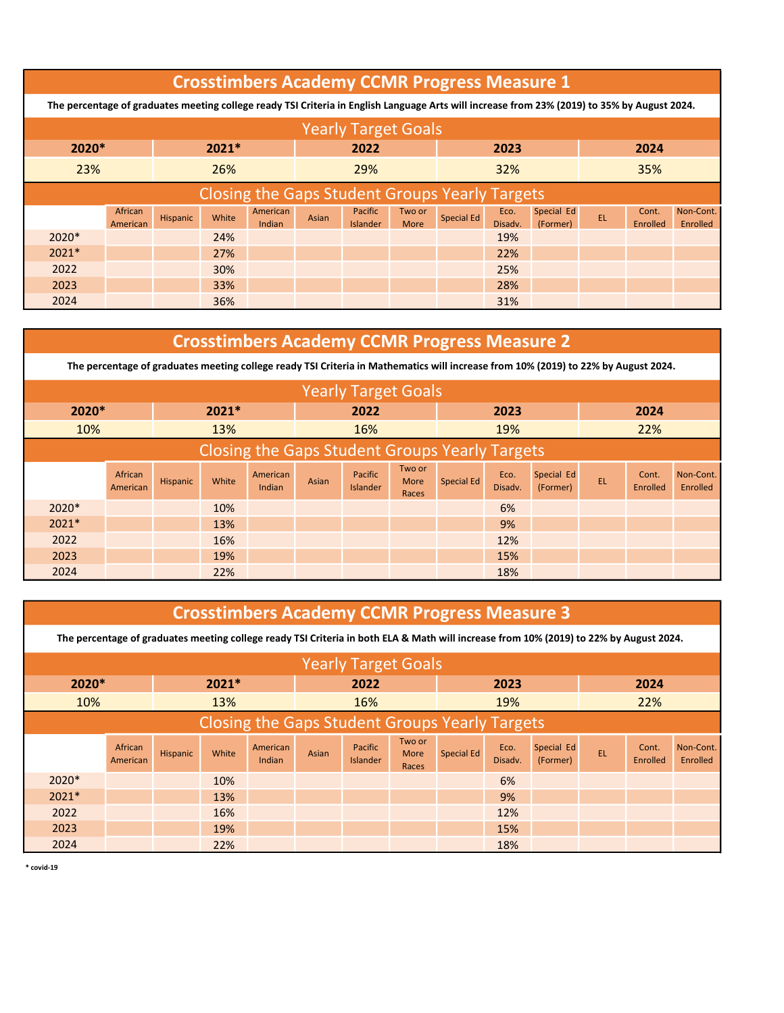|         | <b>Crosstimbers Academy CCMR Progress Measure 1</b>                                                                                          |          |       |                    |       |                                   |                       |            |                 |                        |    |                   |                       |  |
|---------|----------------------------------------------------------------------------------------------------------------------------------------------|----------|-------|--------------------|-------|-----------------------------------|-----------------------|------------|-----------------|------------------------|----|-------------------|-----------------------|--|
|         | The percentage of graduates meeting college ready TSI Criteria in English Language Arts will increase from 23% (2019) to 35% by August 2024. |          |       |                    |       |                                   |                       |            |                 |                        |    |                   |                       |  |
|         | <b>Yearly Target Goals</b>                                                                                                                   |          |       |                    |       |                                   |                       |            |                 |                        |    |                   |                       |  |
|         | 2020*<br>$2021*$<br>2022<br>2024<br>2023                                                                                                     |          |       |                    |       |                                   |                       |            |                 |                        |    |                   |                       |  |
| 23%     | 26%<br>32%<br>35%<br>29%                                                                                                                     |          |       |                    |       |                                   |                       |            |                 |                        |    |                   |                       |  |
|         | <b>Closing the Gaps Student Groups Yearly Targets</b>                                                                                        |          |       |                    |       |                                   |                       |            |                 |                        |    |                   |                       |  |
|         | African<br>American                                                                                                                          | Hispanic | White | American<br>Indian | Asian | <b>Pacific</b><br><b>Islander</b> | Two or<br><b>More</b> | Special Ed | Eco.<br>Disadv. | Special Ed<br>(Former) | EL | Cont.<br>Enrolled | Non-Cont.<br>Enrolled |  |
| $2020*$ |                                                                                                                                              |          | 24%   |                    |       |                                   |                       |            | 19%             |                        |    |                   |                       |  |
| $2021*$ |                                                                                                                                              |          | 27%   |                    |       |                                   |                       |            | 22%             |                        |    |                   |                       |  |
| 2022    |                                                                                                                                              |          | 30%   |                    |       |                                   |                       |            | 25%             |                        |    |                   |                       |  |
| 2023    |                                                                                                                                              |          | 33%   |                    |       |                                   |                       |            | 28%             |                        |    |                   |                       |  |
| 2024    |                                                                                                                                              |          | 36%   |                    |       |                                   |                       |            | 31%             |                        |    |                   |                       |  |

### Crosstimbers Academy CCMR Progress Measure 2

The percentage of graduates meeting college ready TSI Criteria in Mathematics will increase from 10% (2019) to 22% by August 2024.

|                                                              |                     |          |         |                    |       | <b>Yearly Target Goals</b> |                                |                   |                 |                        |      |                   |                       |
|--------------------------------------------------------------|---------------------|----------|---------|--------------------|-------|----------------------------|--------------------------------|-------------------|-----------------|------------------------|------|-------------------|-----------------------|
| 2020*                                                        |                     |          | $2021*$ |                    |       | 2022                       |                                |                   | 2023            |                        | 2024 |                   |                       |
| 10%                                                          |                     |          | 13%     |                    |       | 16%                        |                                |                   | 19%             |                        |      |                   |                       |
| 22%<br><b>Closing the Gaps Student Groups Yearly Targets</b> |                     |          |         |                    |       |                            |                                |                   |                 |                        |      |                   |                       |
|                                                              | African<br>American | Hispanic | White   | American<br>Indian | Asian | Pacific<br><b>Islander</b> | Two or<br><b>More</b><br>Races | <b>Special Ed</b> | Eco.<br>Disadv. | Special Ed<br>(Former) | EL   | Cont.<br>Enrolled | Non-Cont.<br>Enrolled |
| 2020*                                                        |                     |          | 10%     |                    |       |                            |                                |                   | 6%              |                        |      |                   |                       |
| 2021*                                                        |                     |          | 13%     |                    |       |                            |                                |                   | 9%              |                        |      |                   |                       |
| 2022                                                         |                     |          | 16%     |                    |       |                            |                                |                   | 12%             |                        |      |                   |                       |
| 2023                                                         |                     |          | 19%     |                    |       |                            |                                |                   | 15%             |                        |      |                   |                       |
| 2024                                                         |                     |          | 22%     |                    |       |                            |                                |                   | 18%             |                        |      |                   |                       |

#### Crosstimbers Academy CCMR Progress Measure 3

The percentage of graduates meeting college ready TSI Criteria in both ELA & Math will increase from 10% (2019) to 22% by August 2024.

|                                                              |                     |          |         |                    |       | <b>Yearly Target Goals</b> |                         |            |                 |                        |           |                   |                       |
|--------------------------------------------------------------|---------------------|----------|---------|--------------------|-------|----------------------------|-------------------------|------------|-----------------|------------------------|-----------|-------------------|-----------------------|
| 2020*                                                        |                     |          | $2021*$ |                    |       | 2022                       |                         |            | 2023            |                        |           | 2024              |                       |
| 10%                                                          |                     |          | 13%     |                    |       | 16%                        |                         |            | 19%             |                        |           |                   |                       |
| 22%<br><b>Closing the Gaps Student Groups Yearly Targets</b> |                     |          |         |                    |       |                            |                         |            |                 |                        |           |                   |                       |
|                                                              | African<br>American | Hispanic | White   | American<br>Indian | Asian | Pacific<br><b>Islander</b> | Two or<br>More<br>Races | Special Ed | Eco.<br>Disadv. | Special Ed<br>(Former) | <b>EL</b> | Cont.<br>Enrolled | Non-Cont.<br>Enrolled |
| 2020*                                                        |                     |          | 10%     |                    |       |                            |                         |            | 6%              |                        |           |                   |                       |
| $2021*$                                                      |                     |          | 13%     |                    |       |                            |                         |            | 9%              |                        |           |                   |                       |
| 2022                                                         |                     |          | 16%     |                    |       |                            |                         |            | 12%             |                        |           |                   |                       |
| 2023                                                         |                     |          | 19%     |                    |       |                            |                         |            | 15%             |                        |           |                   |                       |
| 2024                                                         |                     |          | 22%     |                    |       |                            |                         |            | 18%             |                        |           |                   |                       |

\* covid-19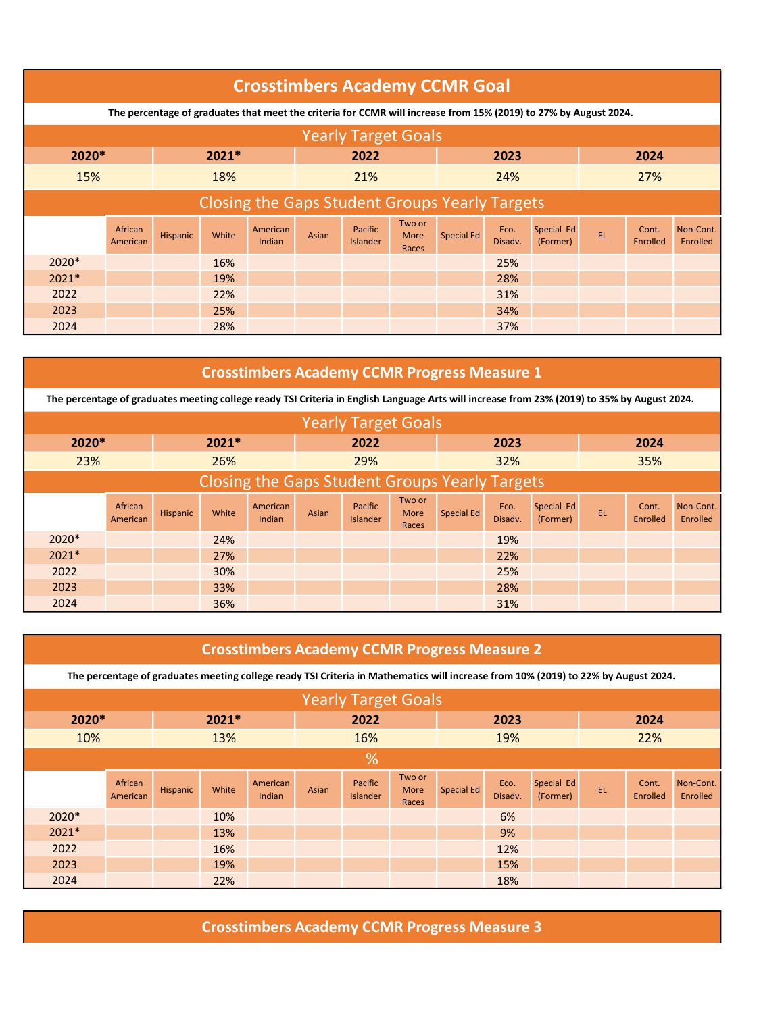|                                                       | <b>Crosstimbers Academy CCMR Goal</b>                                                                            |                 |       |                    |       |                                   |                         |                   |                 |                        |     |                   |                       |  |
|-------------------------------------------------------|------------------------------------------------------------------------------------------------------------------|-----------------|-------|--------------------|-------|-----------------------------------|-------------------------|-------------------|-----------------|------------------------|-----|-------------------|-----------------------|--|
|                                                       | The percentage of graduates that meet the criteria for CCMR will increase from 15% (2019) to 27% by August 2024. |                 |       |                    |       |                                   |                         |                   |                 |                        |     |                   |                       |  |
| <b>Yearly Target Goals</b>                            |                                                                                                                  |                 |       |                    |       |                                   |                         |                   |                 |                        |     |                   |                       |  |
|                                                       | 2020*<br>$2021*$<br>2022<br>2024<br>2023                                                                         |                 |       |                    |       |                                   |                         |                   |                 |                        |     |                   |                       |  |
| 15%                                                   | 18%<br>24%<br>27%<br>21%                                                                                         |                 |       |                    |       |                                   |                         |                   |                 |                        |     |                   |                       |  |
| <b>Closing the Gaps Student Groups Yearly Targets</b> |                                                                                                                  |                 |       |                    |       |                                   |                         |                   |                 |                        |     |                   |                       |  |
|                                                       | African<br>American                                                                                              | <b>Hispanic</b> | White | American<br>Indian | Asian | <b>Pacific</b><br><b>Islander</b> | Two or<br>More<br>Races | <b>Special Ed</b> | Eco.<br>Disadv. | Special Ed<br>(Former) | EL. | Cont.<br>Enrolled | Non-Cont.<br>Enrolled |  |
| $2020*$                                               |                                                                                                                  |                 | 16%   |                    |       |                                   |                         |                   | 25%             |                        |     |                   |                       |  |
| $2021*$                                               |                                                                                                                  |                 | 19%   |                    |       |                                   |                         |                   | 28%             |                        |     |                   |                       |  |
| 2022                                                  |                                                                                                                  |                 | 22%   |                    |       |                                   |                         |                   | 31%             |                        |     |                   |                       |  |
| 2023                                                  |                                                                                                                  |                 | 25%   |                    |       |                                   |                         |                   | 34%             |                        |     |                   |                       |  |
| 2024                                                  |                                                                                                                  |                 | 28%   |                    |       |                                   |                         |                   | 37%             |                        |     |                   |                       |  |

## Crosstimbers Academy CCMR Progress Measure 1

The percentage of graduates meeting college ready TSI Criteria in English Language Arts will increase from 23% (2019) to 35% by August 2024.

|                                                       |                     |          |         |                    |       | <b>Yearly Target Goals</b> |                         |                   |                 |                        |      |                   |                       |
|-------------------------------------------------------|---------------------|----------|---------|--------------------|-------|----------------------------|-------------------------|-------------------|-----------------|------------------------|------|-------------------|-----------------------|
| 2020*                                                 |                     |          | $2021*$ |                    | 2022  |                            |                         |                   | 2023            |                        | 2024 |                   |                       |
| 23%                                                   |                     |          | 26%     |                    |       | 29%                        |                         |                   | 32%             |                        | 35%  |                   |                       |
| <b>Closing the Gaps Student Groups Yearly Targets</b> |                     |          |         |                    |       |                            |                         |                   |                 |                        |      |                   |                       |
|                                                       | African<br>American | Hispanic | White   | American<br>Indian | Asian | Pacific<br><b>Islander</b> | Two or<br>More<br>Races | <b>Special Ed</b> | Eco.<br>Disadv. | Special Ed<br>(Former) | EL.  | Cont.<br>Enrolled | Non-Cont.<br>Enrolled |
| 2020*                                                 |                     |          | 24%     |                    |       |                            |                         |                   | 19%             |                        |      |                   |                       |
| $2021*$                                               |                     |          | 27%     |                    |       |                            |                         |                   | 22%             |                        |      |                   |                       |
| 2022                                                  |                     |          | 30%     |                    |       |                            |                         |                   | 25%             |                        |      |                   |                       |
| 2023                                                  |                     |          | 33%     |                    |       |                            |                         |                   | 28%             |                        |      |                   |                       |
| 2024                                                  |                     |          | 36%     |                    |       |                            |                         |                   | 31%             |                        |      |                   |                       |

|                            | <b>Crosstimbers Academy CCMR Progress Measure 2</b>                                                                                |          |       |                    |       |                            |                         |                   |                 |                        |    |                   |                       |  |
|----------------------------|------------------------------------------------------------------------------------------------------------------------------------|----------|-------|--------------------|-------|----------------------------|-------------------------|-------------------|-----------------|------------------------|----|-------------------|-----------------------|--|
|                            | The percentage of graduates meeting college ready TSI Criteria in Mathematics will increase from 10% (2019) to 22% by August 2024. |          |       |                    |       |                            |                         |                   |                 |                        |    |                   |                       |  |
| <b>Yearly Target Goals</b> |                                                                                                                                    |          |       |                    |       |                            |                         |                   |                 |                        |    |                   |                       |  |
|                            | 2020*<br>$2021*$<br>2022<br>2024<br>2023                                                                                           |          |       |                    |       |                            |                         |                   |                 |                        |    |                   |                       |  |
| 10%                        |                                                                                                                                    |          | 13%   |                    |       | 16%                        |                         |                   | 19%             |                        |    | 22%               |                       |  |
|                            | %                                                                                                                                  |          |       |                    |       |                            |                         |                   |                 |                        |    |                   |                       |  |
|                            | African<br>American                                                                                                                | Hispanic | White | American<br>Indian | Asian | Pacific<br><b>Islander</b> | Two or<br>More<br>Races | <b>Special Ed</b> | Eco.<br>Disadv. | Special Ed<br>(Former) | EL | Cont.<br>Enrolled | Non-Cont.<br>Enrolled |  |
| 2020*                      |                                                                                                                                    |          | 10%   |                    |       |                            |                         |                   | 6%              |                        |    |                   |                       |  |
| $2021*$                    |                                                                                                                                    |          | 13%   |                    |       |                            |                         |                   | 9%              |                        |    |                   |                       |  |
| 2022                       |                                                                                                                                    |          | 16%   |                    |       |                            |                         |                   | 12%             |                        |    |                   |                       |  |
| 2023                       |                                                                                                                                    |          | 19%   |                    |       |                            |                         |                   | 15%             |                        |    |                   |                       |  |
| 2024                       |                                                                                                                                    |          | 22%   |                    |       |                            |                         |                   | 18%             |                        |    |                   |                       |  |

Crosstimbers Academy CCMR Progress Measure 3